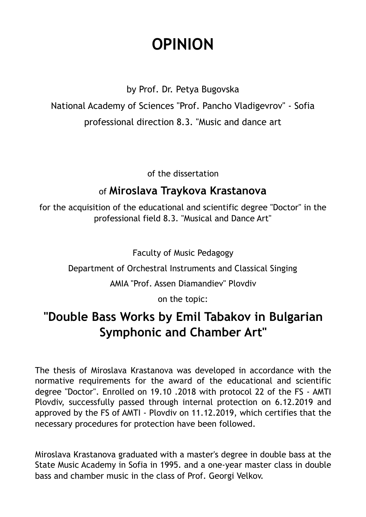# **OPINION**

by Prof. Dr. Petya Bugovska

National Academy of Sciences "Prof. Pancho Vladigevrov" - Sofia

professional direction 8.3. "Music and dance art

of the dissertation

### of **Miroslava Traykova Krastanova**

for the acquisition of the educational and scientific degree "Doctor" in the professional field 8.3. "Musical and Dance Art"

Faculty of Music Pedagogy

Department of Orchestral Instruments and Classical Singing

AMIA "Prof. Assen Diamandiev" Plovdiv

on the topic:

## **"Double Bass Works by Emil Tabakov in Bulgarian Symphonic and Chamber Art"**

The thesis of Miroslava Krastanova was developed in accordance with the normative requirements for the award of the educational and scientific degree "Doctor". Enrolled on 19.10 .2018 with protocol 22 of the FS - AMTI Plovdiv, successfully passed through internal protection on 6.12.2019 and approved by the FS of AMTI - Plovdiv on 11.12.2019, which certifies that the necessary procedures for protection have been followed.

Miroslava Krastanova graduated with a master's degree in double bass at the State Music Academy in Sofia in 1995. and a one-year master class in double bass and chamber music in the class of Prof. Georgi Velkov.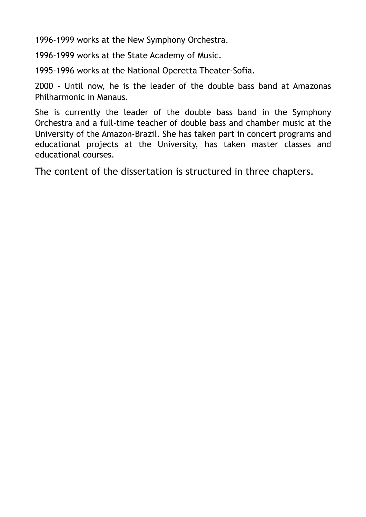1996-1999 works at the New Symphony Orchestra.

1996-1999 works at the State Academy of Music.

1995-1996 works at the National Operetta Theater-Sofia.

2000 - Until now, he is the leader of the double bass band at Amazonas Philharmonic in Manaus.

She is currently the leader of the double bass band in the Symphony Orchestra and a full-time teacher of double bass and chamber music at the University of the Amazon-Brazil. She has taken part in concert programs and educational projects at the University, has taken master classes and educational courses.

The content of the dissertation is structured in three chapters.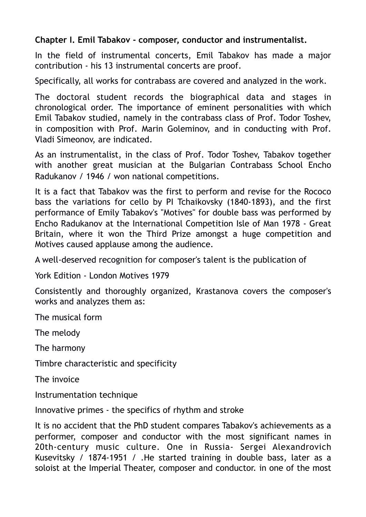#### **Chapter I. Emil Tabakov - composer, conductor and instrumentalist.**

In the field of instrumental concerts, Emil Tabakov has made a major contribution - his 13 instrumental concerts are proof.

Specifically, all works for contrabass are covered and analyzed in the work.

The doctoral student records the biographical data and stages in chronological order. The importance of eminent personalities with which Emil Tabakov studied, namely in the contrabass class of Prof. Todor Toshev, in composition with Prof. Marin Goleminov, and in conducting with Prof. Vladi Simeonov, are indicated.

As an instrumentalist, in the class of Prof. Todor Toshev, Tabakov together with another great musician at the Bulgarian Contrabass School Encho Radukanov / 1946 / won national competitions.

It is a fact that Tabakov was the first to perform and revise for the Rococo bass the variations for cello by PI Tchaikovsky (1840-1893), and the first performance of Emily Tabakov's "Motives" for double bass was performed by Encho Radukanov at the International Competition Isle of Man 1978 - Great Britain, where it won the Third Prize amongst a huge competition and Motives caused applause among the audience.

A well-deserved recognition for composer's talent is the publication of

York Edition - London Motives 1979

Consistently and thoroughly organized, Krastanova covers the composer's works and analyzes them as:

The musical form

The melody

The harmony

Timbre characteristic and specificity

The invoice

Instrumentation technique

Innovative primes - the specifics of rhythm and stroke

It is no accident that the PhD student compares Tabakov's achievements as a performer, composer and conductor with the most significant names in 20th-century music culture. One in Russia- Sergei Alexandrovich Kusevitsky / 1874-1951 / .He started training in double bass, later as a soloist at the Imperial Theater, composer and conductor. in one of the most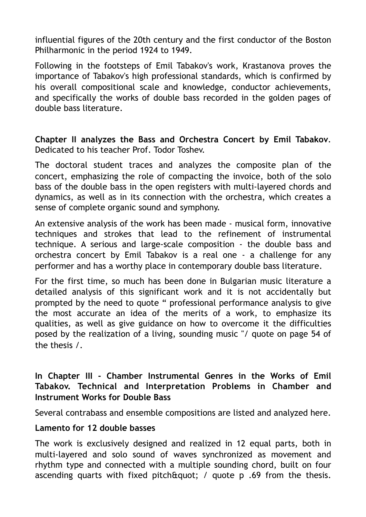influential figures of the 20th century and the first conductor of the Boston Philharmonic in the period 1924 to 1949.

Following in the footsteps of Emil Tabakov's work, Krastanova proves the importance of Tabakov's high professional standards, which is confirmed by his overall compositional scale and knowledge, conductor achievements, and specifically the works of double bass recorded in the golden pages of double bass literature.

**Chapter II analyzes the Bass and Orchestra Concert by Emil Tabakov**. Dedicated to his teacher Prof. Todor Toshev.

The doctoral student traces and analyzes the composite plan of the concert, emphasizing the role of compacting the invoice, both of the solo bass of the double bass in the open registers with multi-layered chords and dynamics, as well as in its connection with the orchestra, which creates a sense of complete organic sound and symphony.

An extensive analysis of the work has been made - musical form, innovative techniques and strokes that lead to the refinement of instrumental technique. A serious and large-scale composition - the double bass and orchestra concert by Emil Tabakov is a real one - a challenge for any performer and has a worthy place in contemporary double bass literature.

For the first time, so much has been done in Bulgarian music literature a detailed analysis of this significant work and it is not accidentally but prompted by the need to quote " professional performance analysis to give the most accurate an idea of the merits of a work, to emphasize its qualities, as well as give guidance on how to overcome it the difficulties posed by the realization of a living, sounding music "/ quote on page 54 of the thesis /.

#### **In Chapter III - Chamber Instrumental Genres in the Works of Emil Tabakov. Technical and Interpretation Problems in Chamber and Instrument Works for Double Bass**

Several contrabass and ensemble compositions are listed and analyzed here.

#### **Lamento for 12 double basses**

The work is exclusively designed and realized in 12 equal parts, both in multi-layered and solo sound of waves synchronized as movement and rhythm type and connected with a multiple sounding chord, built on four ascending quarts with fixed pitch  $\text{Equation 1: }$  quote p .69 from the thesis.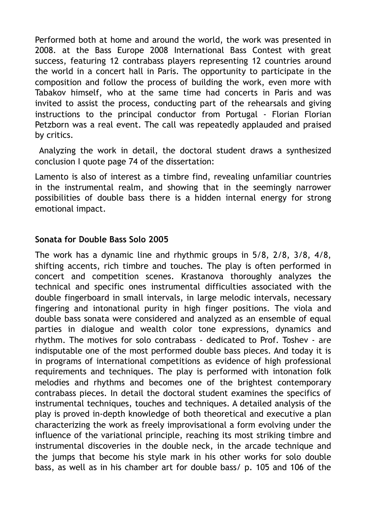Performed both at home and around the world, the work was presented in 2008. at the Bass Europe 2008 International Bass Contest with great success, featuring 12 contrabass players representing 12 countries around the world in a concert hall in Paris. The opportunity to participate in the composition and follow the process of building the work, even more with Tabakov himself, who at the same time had concerts in Paris and was invited to assist the process, conducting part of the rehearsals and giving instructions to the principal conductor from Portugal - Florian Florian Petzborn was a real event. The call was repeatedly applauded and praised by critics.

 Analyzing the work in detail, the doctoral student draws a synthesized conclusion I quote page 74 of the dissertation:

Lamento is also of interest as a timbre find, revealing unfamiliar countries in the instrumental realm, and showing that in the seemingly narrower possibilities of double bass there is a hidden internal energy for strong emotional impact.

#### **Sonata for Double Bass Solo 2005**

The work has a dynamic line and rhythmic groups in 5/8, 2/8, 3/8, 4/8, shifting accents, rich timbre and touches. The play is often performed in concert and competition scenes. Krastanova thoroughly analyzes the technical and specific ones instrumental difficulties associated with the double fingerboard in small intervals, in large melodic intervals, necessary fingering and intonational purity in high finger positions. The viola and double bass sonata were considered and analyzed as an ensemble of equal parties in dialogue and wealth color tone expressions, dynamics and rhythm. The motives for solo contrabass - dedicated to Prof. Toshev - are indisputable one of the most performed double bass pieces. And today it is in programs of international competitions as evidence of high professional requirements and techniques. The play is performed with intonation folk melodies and rhythms and becomes one of the brightest contemporary contrabass pieces. In detail the doctoral student examines the specifics of instrumental techniques, touches and techniques. A detailed analysis of the play is proved in-depth knowledge of both theoretical and executive a plan characterizing the work as freely improvisational a form evolving under the influence of the variational principle, reaching its most striking timbre and instrumental discoveries in the double neck, in the arcade technique and the jumps that become his style mark in his other works for solo double bass, as well as in his chamber art for double bass/ p. 105 and 106 of the